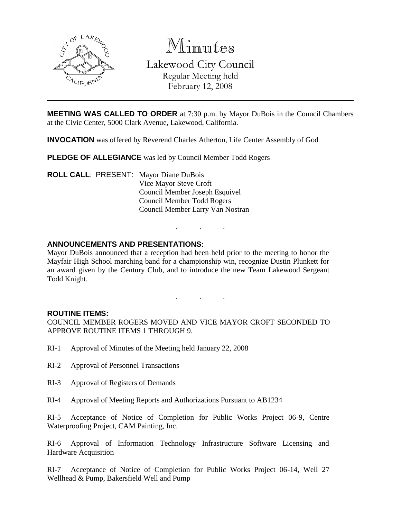

Minutes

Lakewood City Council

Regular Meeting held February 12, 2008

**MEETING WAS CALLED TO ORDER** at 7:30 p.m. by Mayor DuBois in the Council Chambers at the Civic Center, 5000 Clark Avenue, Lakewood, California.

**INVOCATION** was offered by Reverend Charles Atherton, Life Center Assembly of God

**PLEDGE OF ALLEGIANCE** was led by Council Member Todd Rogers

**ROLL CALL**: PRESENT: Mayor Diane DuBois Vice Mayor Steve Croft Council Member Joseph Esquivel Council Member Todd Rogers Council Member Larry Van Nostran

# **ANNOUNCEMENTS AND PRESENTATIONS:**

Mayor DuBois announced that a reception had been held prior to the meeting to honor the Mayfair High School marching band for a championship win, recognize Dustin Plunkett for an award given by the Century Club, and to introduce the new Team Lakewood Sergeant Todd Knight.

. . .

. . .

## **ROUTINE ITEMS:**

COUNCIL MEMBER ROGERS MOVED AND VICE MAYOR CROFT SECONDED TO APPROVE ROUTINE ITEMS 1 THROUGH 9.

- RI-1 Approval of Minutes of the Meeting held January 22, 2008
- RI-2 Approval of Personnel Transactions
- RI-3 Approval of Registers of Demands
- RI-4 Approval of Meeting Reports and Authorizations Pursuant to AB1234

RI-5 Acceptance of Notice of Completion for Public Works Project 06-9, Centre Waterproofing Project, CAM Painting, Inc.

RI-6 Approval of Information Technology Infrastructure Software Licensing and Hardware Acquisition

RI-7 Acceptance of Notice of Completion for Public Works Project 06-14, Well 27 Wellhead & Pump, Bakersfield Well and Pump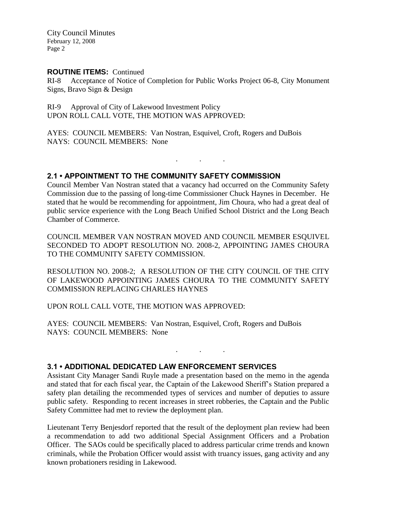City Council Minutes February 12, 2008 Page 2

### **ROUTINE ITEMS:** Continued

RI-8 Acceptance of Notice of Completion for Public Works Project 06-8, City Monument Signs, Bravo Sign & Design

RI-9 Approval of City of Lakewood Investment Policy UPON ROLL CALL VOTE, THE MOTION WAS APPROVED:

AYES: COUNCIL MEMBERS: Van Nostran, Esquivel, Croft, Rogers and DuBois NAYS: COUNCIL MEMBERS: None

**2.1 • APPOINTMENT TO THE COMMUNITY SAFETY COMMISSION**

Council Member Van Nostran stated that a vacancy had occurred on the Community Safety Commission due to the passing of long-time Commissioner Chuck Haynes in December. He stated that he would be recommending for appointment, Jim Choura, who had a great deal of public service experience with the Long Beach Unified School District and the Long Beach Chamber of Commerce.

. . .

COUNCIL MEMBER VAN NOSTRAN MOVED AND COUNCIL MEMBER ESQUIVEL SECONDED TO ADOPT RESOLUTION NO. 2008-2, APPOINTING JAMES CHOURA TO THE COMMUNITY SAFETY COMMISSION.

RESOLUTION NO. 2008-2; A RESOLUTION OF THE CITY COUNCIL OF THE CITY OF LAKEWOOD APPOINTING JAMES CHOURA TO THE COMMUNITY SAFETY COMMISSION REPLACING CHARLES HAYNES

UPON ROLL CALL VOTE, THE MOTION WAS APPROVED:

AYES: COUNCIL MEMBERS: Van Nostran, Esquivel, Croft, Rogers and DuBois NAYS: COUNCIL MEMBERS: None

## **3.1 • ADDITIONAL DEDICATED LAW ENFORCEMENT SERVICES**

Assistant City Manager Sandi Ruyle made a presentation based on the memo in the agenda and stated that for each fiscal year, the Captain of the Lakewood Sheriff's Station prepared a safety plan detailing the recommended types of services and number of deputies to assure public safety. Responding to recent increases in street robberies, the Captain and the Public Safety Committee had met to review the deployment plan.

. . .

Lieutenant Terry Benjesdorf reported that the result of the deployment plan review had been a recommendation to add two additional Special Assignment Officers and a Probation Officer. The SAOs could be specifically placed to address particular crime trends and known criminals, while the Probation Officer would assist with truancy issues, gang activity and any known probationers residing in Lakewood.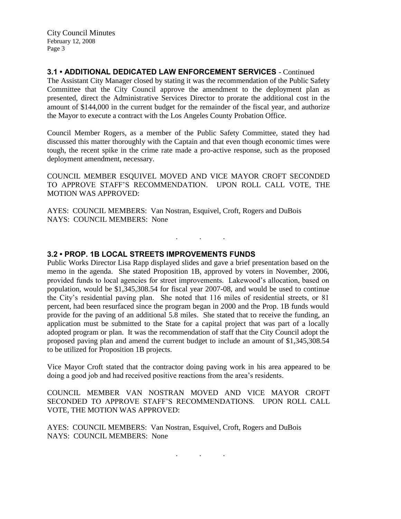City Council Minutes February 12, 2008 Page 3

# **3.1 • ADDITIONAL DEDICATED LAW ENFORCEMENT SERVICES** - Continued

The Assistant City Manager closed by stating it was the recommendation of the Public Safety Committee that the City Council approve the amendment to the deployment plan as presented, direct the Administrative Services Director to prorate the additional cost in the amount of \$144,000 in the current budget for the remainder of the fiscal year, and authorize the Mayor to execute a contract with the Los Angeles County Probation Office.

Council Member Rogers, as a member of the Public Safety Committee, stated they had discussed this matter thoroughly with the Captain and that even though economic times were tough, the recent spike in the crime rate made a pro-active response, such as the proposed deployment amendment, necessary.

COUNCIL MEMBER ESQUIVEL MOVED AND VICE MAYOR CROFT SECONDED TO APPROVE STAFF'S RECOMMENDATION. UPON ROLL CALL VOTE, THE MOTION WAS APPROVED:

. . .

AYES: COUNCIL MEMBERS: Van Nostran, Esquivel, Croft, Rogers and DuBois NAYS: COUNCIL MEMBERS: None

### **3.2 • PROP. 1B LOCAL STREETS IMPROVEMENTS FUNDS**

Public Works Director Lisa Rapp displayed slides and gave a brief presentation based on the memo in the agenda. She stated Proposition 1B, approved by voters in November, 2006, provided funds to local agencies for street improvements. Lakewood's allocation, based on population, would be \$1,345,308.54 for fiscal year 2007-08, and would be used to continue the City's residential paving plan. She noted that 116 miles of residential streets, or 81 percent, had been resurfaced since the program began in 2000 and the Prop. 1B funds would provide for the paving of an additional 5.8 miles. She stated that to receive the funding, an application must be submitted to the State for a capital project that was part of a locally adopted program or plan. It was the recommendation of staff that the City Council adopt the proposed paving plan and amend the current budget to include an amount of \$1,345,308.54 to be utilized for Proposition 1B projects.

Vice Mayor Croft stated that the contractor doing paving work in his area appeared to be doing a good job and had received positive reactions from the area's residents.

COUNCIL MEMBER VAN NOSTRAN MOVED AND VICE MAYOR CROFT SECONDED TO APPROVE STAFF'S RECOMMENDATIONS. UPON ROLL CALL VOTE, THE MOTION WAS APPROVED:

. . .

AYES: COUNCIL MEMBERS: Van Nostran, Esquivel, Croft, Rogers and DuBois NAYS: COUNCIL MEMBERS: None